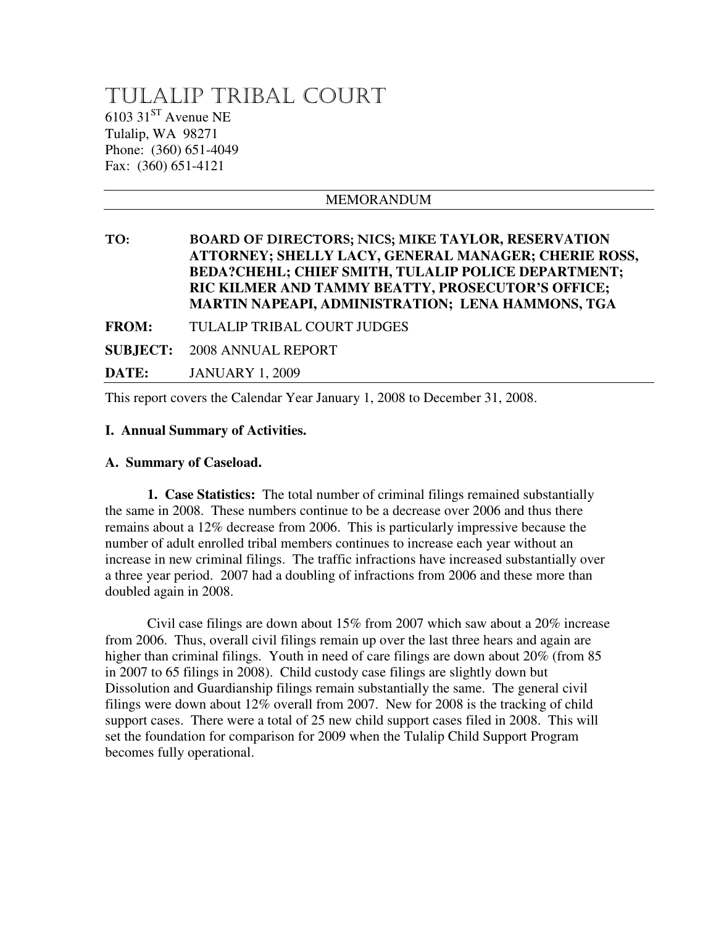# TULALIP TRIBAL COURT  $6103$   $31<sup>ST</sup>$  Avenue NE Tulalip, WA 98271 Phone: (360) 651-4049 Fax: (360) 651-4121

# MEMORANDUM TO: BOARD OF DIRECTORS; NICS; MIKE **TAYLOR, RESERVATION ATTORNEY; SHELLY LACY, GENERAL MANAGER; CHERIE ROSS, BEDA?CHEHL; CHIEF SMITH, TULALIP POLICE DEPARTMENT; RIC KILMER AND TAMMY BEATTY, PROSECUTOR'S OFFICE; MARTIN NAPEAPI, ADMINISTRATION; LENA HAMMONS, TGA FROM:** TULALIP TRIBAL COURT JUDGES **SUBJECT:** 2008 ANNUAL REPORT **DATE:** JANUARY 1, 2009

This report covers the Calendar Year January 1, 2008 to December 31, 2008.

### **I. Annual Summary of Activities.**

#### **A. Summary of Caseload.**

 **1. Case Statistics:** The total number of criminal filings remained substantially the same in 2008. These numbers continue to be a decrease over 2006 and thus there remains about a 12% decrease from 2006. This is particularly impressive because the number of adult enrolled tribal members continues to increase each year without an increase in new criminal filings. The traffic infractions have increased substantially over a three year period. 2007 had a doubling of infractions from 2006 and these more than doubled again in 2008.

Civil case filings are down about  $15\%$  from 2007 which saw about a 20% increase from 2006. Thus, overall civil filings remain up over the last three hears and again are higher than criminal filings. Youth in need of care filings are down about 20% (from 85 in 2007 to 65 filings in 2008). Child custody case filings are slightly down but Dissolution and Guardianship filings remain substantially the same. The general civil filings were down about 12% overall from 2007. New for 2008 is the tracking of child support cases. There were a total of 25 new child support cases filed in 2008. This will set the foundation for comparison for 2009 when the Tulalip Child Support Program becomes fully operational.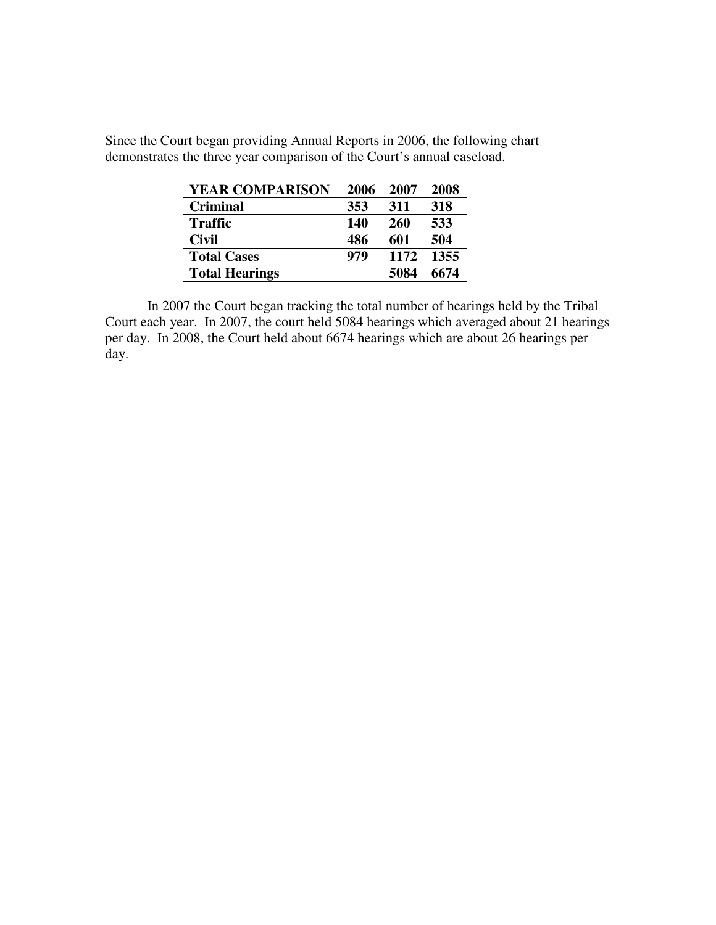Since the Court began providing Annual Reports in 2006, the following chart demonstrates the three year comparison of the Court's annual caseload.

| <b>YEAR COMPARISON</b> | 2006 | 2007 | 2008 |
|------------------------|------|------|------|
| <b>Criminal</b>        | 353  | 311  | 318  |
| <b>Traffic</b>         | 140  | 260  | 533  |
| <b>Civil</b>           | 486  | 601  | 504  |
| <b>Total Cases</b>     | 979  | 1172 | 1355 |
| <b>Total Hearings</b>  |      | 5084 | 6674 |

In 2007 the Court began tracking the total number of hearings held by the Tribal Court each year. In 2007, the court held 5084 hearings which averaged about 21 hearings per day. In 2008, the Court held about 6674 hearings which are about 26 hearings per day.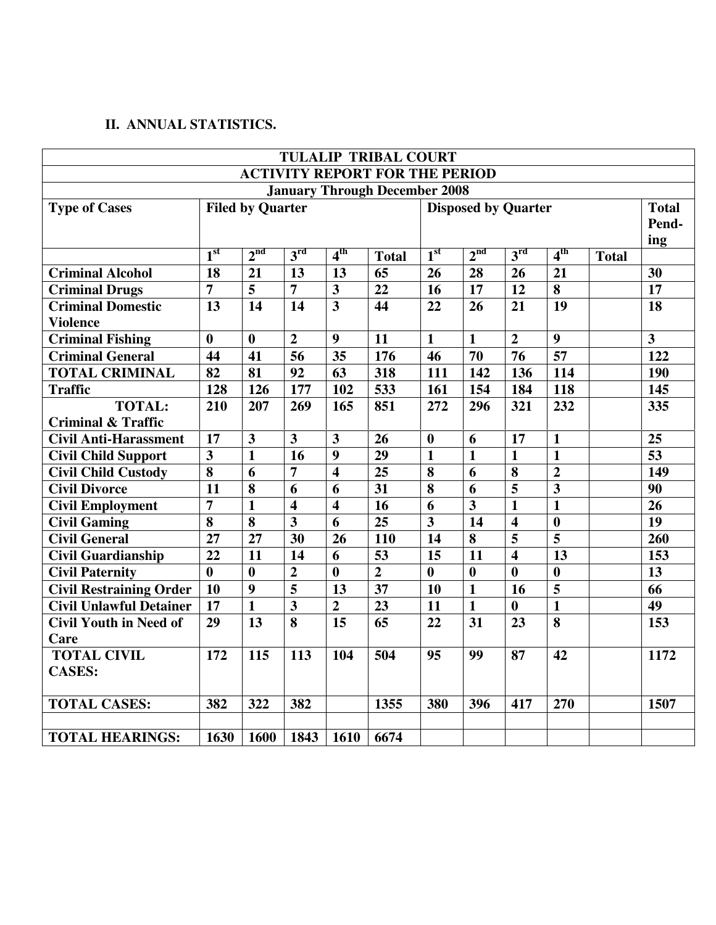## **II. ANNUAL STATISTICS.**

|                                       |                         |                         |                         |                         | <b>TULALIP TRIBAL COURT</b> |                         |                         |                         |                         |              |                         |
|---------------------------------------|-------------------------|-------------------------|-------------------------|-------------------------|-----------------------------|-------------------------|-------------------------|-------------------------|-------------------------|--------------|-------------------------|
| <b>ACTIVITY REPORT FOR THE PERIOD</b> |                         |                         |                         |                         |                             |                         |                         |                         |                         |              |                         |
| <b>January Through December 2008</b>  |                         |                         |                         |                         |                             |                         |                         |                         |                         |              |                         |
| <b>Type of Cases</b>                  | <b>Filed by Quarter</b> |                         |                         |                         | <b>Disposed by Quarter</b>  |                         |                         |                         | <b>Total</b>            |              |                         |
|                                       |                         |                         |                         |                         |                             |                         |                         |                         | Pend-                   |              |                         |
|                                       |                         |                         |                         |                         |                             |                         |                         |                         | ing                     |              |                         |
|                                       | 1 <sup>st</sup>         | 2 <sup>nd</sup>         | 3 <sup>rd</sup>         | 4 <sup>th</sup>         | <b>Total</b>                | 1 <sup>st</sup>         | 2 <sup>nd</sup>         | 3 <sup>rd</sup>         | 4 <sup>th</sup>         | <b>Total</b> |                         |
| <b>Criminal Alcohol</b>               | 18                      | 21                      | 13                      | 13                      | 65                          | 26                      | 28                      | 26                      | 21                      |              | 30                      |
| <b>Criminal Drugs</b>                 | $\overline{7}$          | $\overline{\mathbf{5}}$ | $\overline{7}$          | $\overline{\mathbf{3}}$ | $\overline{22}$             | $\overline{16}$         | $\overline{17}$         | $\overline{12}$         | $\overline{\mathbf{8}}$ |              | $\overline{17}$         |
| <b>Criminal Domestic</b>              | $\overline{13}$         | 14                      | $\overline{14}$         | $\overline{\mathbf{3}}$ | 44                          | 22                      | 26                      | 21                      | 19                      |              | 18                      |
| <b>Violence</b>                       |                         |                         |                         |                         |                             |                         |                         |                         |                         |              |                         |
| <b>Criminal Fishing</b>               | $\boldsymbol{0}$        | $\bf{0}$                | $\overline{2}$          | $\boldsymbol{9}$        | 11                          | $\mathbf{1}$            | $\mathbf{1}$            | $\overline{2}$          | $\boldsymbol{9}$        |              | $\overline{\mathbf{3}}$ |
| <b>Criminal General</b>               | 44                      | 41                      | 56                      | 35                      | 176                         | 46                      | 70                      | 76                      | 57                      |              | 122                     |
| <b>TOTAL CRIMINAL</b>                 | 82                      | 81                      | 92                      | 63                      | 318                         | 111                     | 142                     | 136                     | 114                     |              | 190                     |
| <b>Traffic</b>                        | 128                     | 126                     | 177                     | 102                     | 533                         | 161                     | 154                     | 184                     | 118                     |              | 145                     |
| <b>TOTAL:</b>                         | 210                     | 207                     | 269                     | 165                     | 851                         | 272                     | 296                     | 321                     | 232                     |              | 335                     |
| <b>Criminal &amp; Traffic</b>         |                         |                         |                         |                         |                             |                         |                         |                         |                         |              |                         |
| <b>Civil Anti-Harassment</b>          | 17                      | $\mathbf{3}$            | $\overline{\mathbf{3}}$ | $\overline{\mathbf{3}}$ | 26                          | $\boldsymbol{0}$        | 6                       | 17                      | $\mathbf{1}$            |              | 25                      |
| <b>Civil Child Support</b>            | $\overline{\mathbf{3}}$ | $\mathbf{1}$            | 16                      | $\boldsymbol{9}$        | 29                          | $\mathbf{1}$            | $\mathbf{1}$            | $\mathbf{1}$            | $\mathbf{1}$            |              | $\overline{53}$         |
| <b>Civil Child Custody</b>            | 8                       | 6                       | $\overline{7}$          | $\overline{\mathbf{4}}$ | $\overline{25}$             | 8                       | 6                       | 8                       | $\overline{2}$          |              | 149                     |
| <b>Civil Divorce</b>                  | 11                      | 8                       | $\overline{6}$          | 6                       | $\overline{31}$             | 8                       | 6                       | 5                       | $\overline{\mathbf{3}}$ |              | 90                      |
| <b>Civil Employment</b>               | $\overline{7}$          | $\overline{1}$          | $\overline{\mathbf{4}}$ | $\overline{\mathbf{4}}$ | 16                          | 6                       | $\overline{\mathbf{3}}$ | $\mathbf{1}$            | $\overline{1}$          |              | 26                      |
| <b>Civil Gaming</b>                   | 8                       | 8                       | $\overline{3}$          | 6                       | 25                          | $\overline{\mathbf{3}}$ | 14                      | $\overline{\mathbf{4}}$ | $\boldsymbol{0}$        |              | 19                      |
| <b>Civil General</b>                  | $\overline{27}$         | 27                      | $\overline{30}$         | 26                      | 110                         | 14                      | $\overline{\mathbf{8}}$ | 5                       | $\overline{\mathbf{5}}$ |              | 260                     |
| <b>Civil Guardianship</b>             | 22                      | 11                      | 14                      | 6                       | 53                          | 15                      | 11                      | $\overline{\mathbf{4}}$ | 13                      |              | 153                     |
| <b>Civil Paternity</b>                | $\boldsymbol{0}$        | $\bf{0}$                | $\overline{\mathbf{2}}$ | $\bf{0}$                | $\overline{2}$              | $\bf{0}$                | $\mathbf{0}$            | $\boldsymbol{0}$        | $\boldsymbol{0}$        |              | 13                      |
| <b>Civil Restraining Order</b>        | 10                      | 9                       | $\overline{\mathbf{5}}$ | 13                      | 37                          | 10                      | $\mathbf{1}$            | 16                      | 5                       |              | 66                      |
| <b>Civil Unlawful Detainer</b>        | 17                      | $\mathbf{1}$            | $\overline{\mathbf{3}}$ | $\overline{2}$          | 23                          | 11                      | $\mathbf{1}$            | $\bf{0}$                | $\mathbf{1}$            |              | 49                      |
| <b>Civil Youth in Need of</b>         | 29                      | 13                      | $\overline{\mathbf{8}}$ | 15                      | 65                          | 22                      | 31                      | 23                      | 8                       |              | 153                     |
| Care                                  |                         |                         |                         |                         |                             |                         |                         |                         |                         |              |                         |
| <b>TOTAL CIVIL</b>                    | 172                     | 115                     | 113                     | 104                     | 504                         | 95                      | 99                      | 87                      | 42                      |              | 1172                    |
| <b>CASES:</b>                         |                         |                         |                         |                         |                             |                         |                         |                         |                         |              |                         |
|                                       |                         |                         |                         |                         |                             |                         |                         |                         |                         |              |                         |
| <b>TOTAL CASES:</b>                   | 382                     | 322                     | 382                     |                         | 1355                        | 380                     | 396                     | 417                     | 270                     |              | 1507                    |
|                                       |                         |                         |                         |                         |                             |                         |                         |                         |                         |              |                         |
| <b>TOTAL HEARINGS:</b>                | 1630                    | 1600                    | 1843                    | 1610                    | 6674                        |                         |                         |                         |                         |              |                         |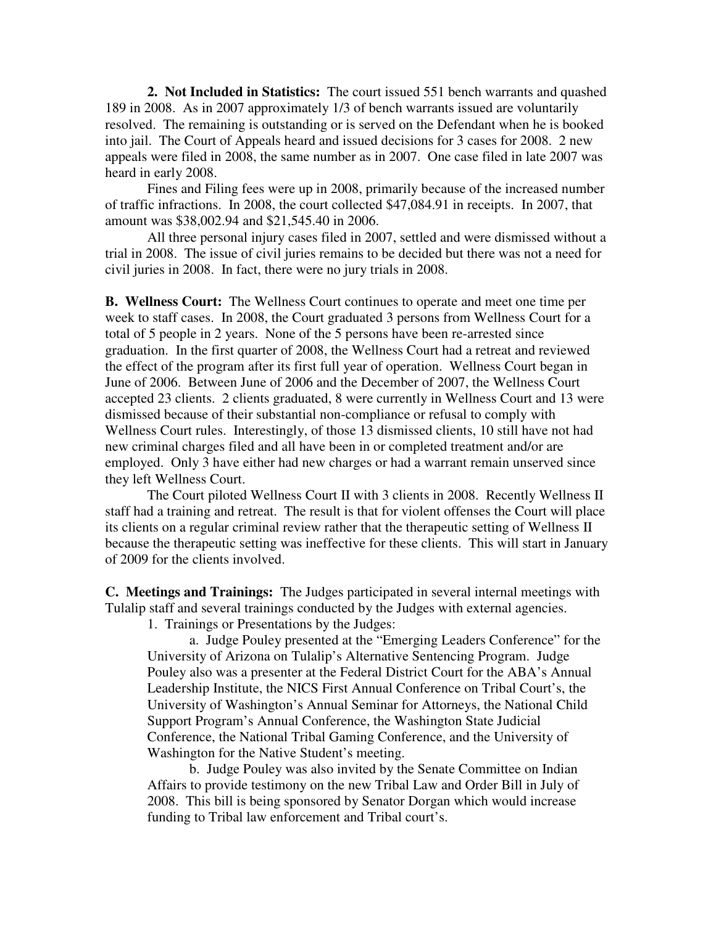**2. Not Included in Statistics:** The court issued 551 bench warrants and quashed 189 in 2008. As in 2007 approximately 1/3 of bench warrants issued are voluntarily resolved. The remaining is outstanding or is served on the Defendant when he is booked into jail. The Court of Appeals heard and issued decisions for 3 cases for 2008. 2 new appeals were filed in 2008, the same number as in 2007. One case filed in late 2007 was heard in early 2008.

 Fines and Filing fees were up in 2008, primarily because of the increased number of traffic infractions. In 2008, the court collected \$47,084.91 in receipts. In 2007, that amount was \$38,002.94 and \$21,545.40 in 2006.

 All three personal injury cases filed in 2007, settled and were dismissed without a trial in 2008. The issue of civil juries remains to be decided but there was not a need for civil juries in 2008. In fact, there were no jury trials in 2008.

**B. Wellness Court:** The Wellness Court continues to operate and meet one time per week to staff cases. In 2008, the Court graduated 3 persons from Wellness Court for a total of 5 people in 2 years. None of the 5 persons have been re-arrested since graduation. In the first quarter of 2008, the Wellness Court had a retreat and reviewed the effect of the program after its first full year of operation. Wellness Court began in June of 2006. Between June of 2006 and the December of 2007, the Wellness Court accepted 23 clients. 2 clients graduated, 8 were currently in Wellness Court and 13 were dismissed because of their substantial non-compliance or refusal to comply with Wellness Court rules. Interestingly, of those 13 dismissed clients, 10 still have not had new criminal charges filed and all have been in or completed treatment and/or are employed. Only 3 have either had new charges or had a warrant remain unserved since they left Wellness Court.

 The Court piloted Wellness Court II with 3 clients in 2008. Recently Wellness II staff had a training and retreat. The result is that for violent offenses the Court will place its clients on a regular criminal review rather that the therapeutic setting of Wellness II because the therapeutic setting was ineffective for these clients. This will start in January of 2009 for the clients involved.

**C. Meetings and Trainings:** The Judges participated in several internal meetings with Tulalip staff and several trainings conducted by the Judges with external agencies.

1. Trainings or Presentations by the Judges:

a. Judge Pouley presented at the "Emerging Leaders Conference" for the University of Arizona on Tulalip's Alternative Sentencing Program. Judge Pouley also was a presenter at the Federal District Court for the ABA's Annual Leadership Institute, the NICS First Annual Conference on Tribal Court's, the University of Washington's Annual Seminar for Attorneys, the National Child Support Program's Annual Conference, the Washington State Judicial Conference, the National Tribal Gaming Conference, and the University of Washington for the Native Student's meeting.

b. Judge Pouley was also invited by the Senate Committee on Indian Affairs to provide testimony on the new Tribal Law and Order Bill in July of 2008. This bill is being sponsored by Senator Dorgan which would increase funding to Tribal law enforcement and Tribal court's.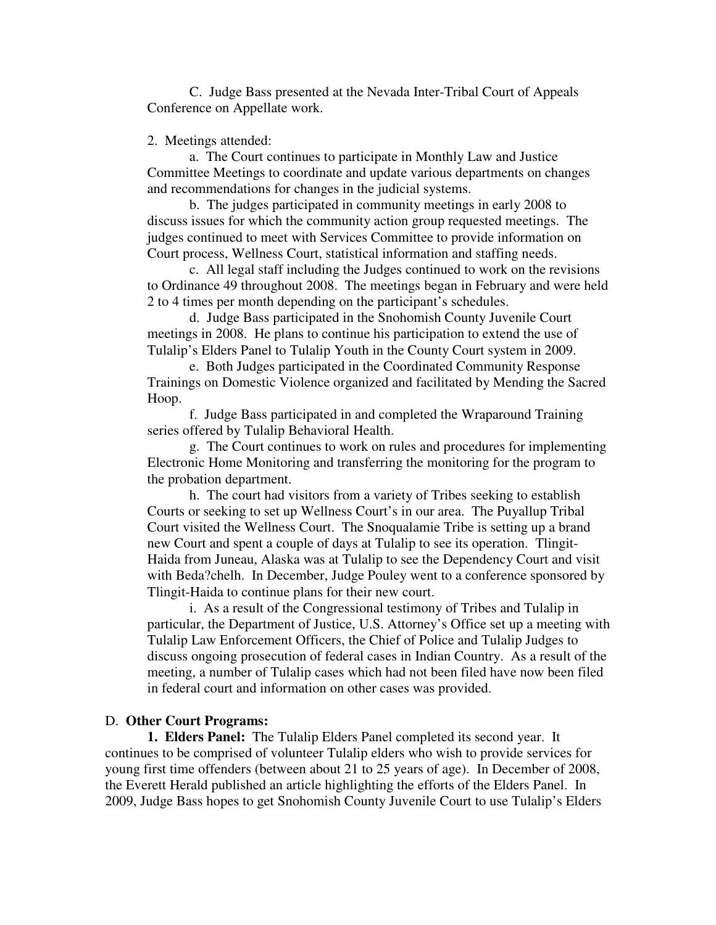C. Judge Bass presented at the Nevada Inter-Tribal Court of Appeals Conference on Appellate work.

2. Meetings attended:

a. The Court continues to participate in Monthly Law and Justice Committee Meetings to coordinate and update various departments on changes and recommendations for changes in the judicial systems.

b. The judges participated in community meetings in early 2008 to discuss issues for which the community action group requested meetings. The judges continued to meet with Services Committee to provide information on Court process, Wellness Court, statistical information and staffing needs.

c. All legal staff including the Judges continued to work on the revisions to Ordinance 49 throughout 2008. The meetings began in February and were held 2 to 4 times per month depending on the participant's schedules.

d. Judge Bass participated in the Snohomish County Juvenile Court meetings in 2008. He plans to continue his participation to extend the use of Tulalip's Elders Panel to Tulalip Youth in the County Court system in 2009.

e. Both Judges participated in the Coordinated Community Response Trainings on Domestic Violence organized and facilitated by Mending the Sacred Hoop.

f. Judge Bass participated in and completed the Wraparound Training series offered by Tulalip Behavioral Health.

g. The Court continues to work on rules and procedures for implementing Electronic Home Monitoring and transferring the monitoring for the program to the probation department.

h. The court had visitors from a variety of Tribes seeking to establish Courts or seeking to set up Wellness Court's in our area. The Puyallup Tribal Court visited the Wellness Court. The Snoqualamie Tribe is setting up a brand new Court and spent a couple of days at Tulalip to see its operation. Tlingit-Haida from Juneau, Alaska was at Tulalip to see the Dependency Court and visit with Beda?chelh. In December, Judge Pouley went to a conference sponsored by Tlingit-Haida to continue plans for their new court.

i. As a result of the Congressional testimony of Tribes and Tulalip in particular, the Department of Justice, U.S. Attorney's Office set up a meeting with Tulalip Law Enforcement Officers, the Chief of Police and Tulalip Judges to discuss ongoing prosecution of federal cases in Indian Country. As a result of the meeting, a number of Tulalip cases which had not been filed have now been filed in federal court and information on other cases was provided.

#### D. **Other Court Programs:**

 **1. Elders Panel:** The Tulalip Elders Panel completed its second year. It continues to be comprised of volunteer Tulalip elders who wish to provide services for young first time offenders (between about 21 to 25 years of age). In December of 2008, the Everett Herald published an article highlighting the efforts of the Elders Panel. In 2009, Judge Bass hopes to get Snohomish County Juvenile Court to use Tulalip's Elders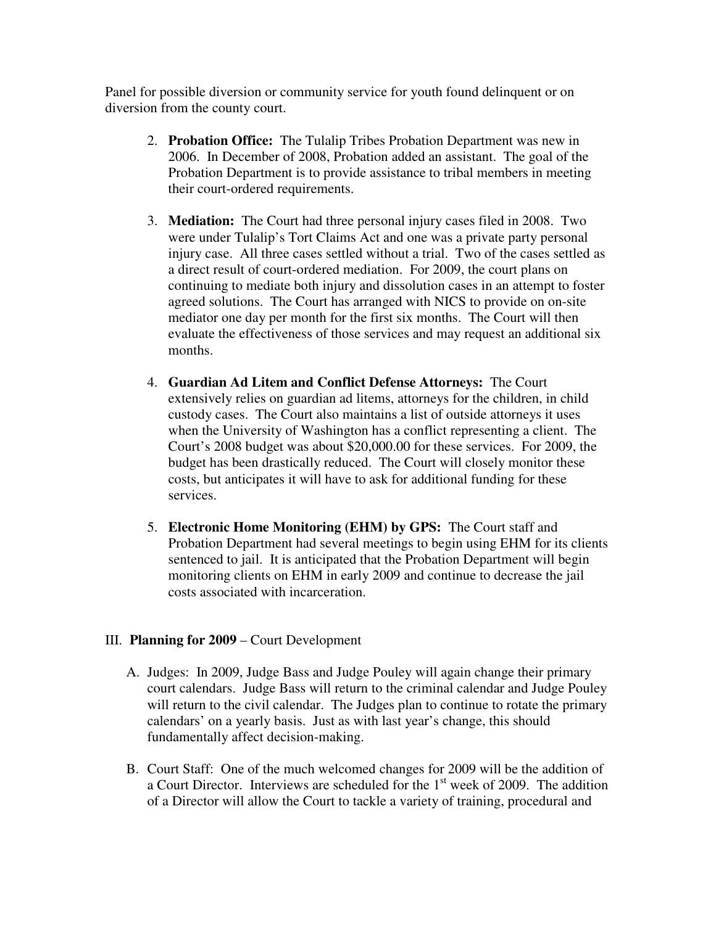Panel for possible diversion or community service for youth found delinquent or on diversion from the county court.

- 2. **Probation Office:** The Tulalip Tribes Probation Department was new in 2006. In December of 2008, Probation added an assistant. The goal of the Probation Department is to provide assistance to tribal members in meeting their court-ordered requirements.
- 3. **Mediation:** The Court had three personal injury cases filed in 2008. Two were under Tulalip's Tort Claims Act and one was a private party personal injury case. All three cases settled without a trial. Two of the cases settled as a direct result of court-ordered mediation. For 2009, the court plans on continuing to mediate both injury and dissolution cases in an attempt to foster agreed solutions. The Court has arranged with NICS to provide on on-site mediator one day per month for the first six months. The Court will then evaluate the effectiveness of those services and may request an additional six months.
- 4. **Guardian Ad Litem and Conflict Defense Attorneys:** The Court extensively relies on guardian ad litems, attorneys for the children, in child custody cases. The Court also maintains a list of outside attorneys it uses when the University of Washington has a conflict representing a client. The Court's 2008 budget was about \$20,000.00 for these services. For 2009, the budget has been drastically reduced. The Court will closely monitor these costs, but anticipates it will have to ask for additional funding for these services.
- 5. **Electronic Home Monitoring (EHM) by GPS:** The Court staff and Probation Department had several meetings to begin using EHM for its clients sentenced to jail. It is anticipated that the Probation Department will begin monitoring clients on EHM in early 2009 and continue to decrease the jail costs associated with incarceration.

## III. **Planning for 2009** – Court Development

- A. Judges: In 2009, Judge Bass and Judge Pouley will again change their primary court calendars. Judge Bass will return to the criminal calendar and Judge Pouley will return to the civil calendar. The Judges plan to continue to rotate the primary calendars' on a yearly basis. Just as with last year's change, this should fundamentally affect decision-making.
- B. Court Staff: One of the much welcomed changes for 2009 will be the addition of a Court Director. Interviews are scheduled for the  $1<sup>st</sup>$  week of 2009. The addition of a Director will allow the Court to tackle a variety of training, procedural and